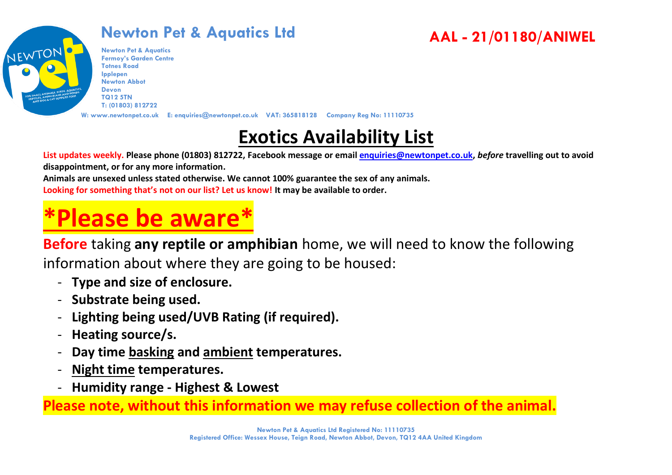

**Newton Pet & Aquatics Fermoy's Garden Centre Totnes Road Ipplepen Newton Abbot Devon TQ12 5TN T: (01803) 812722**

**W: www.newtonpet.co.uk E: enquiries@newtonpet.co.uk VAT: 365818128 Company Reg No: 11110735**

# **Exotics Availability List**

**AAL - 21/01180/ANIWEL**

**List updates weekly. Please phone (01803) 812722, Facebook message or email [enquiries@newtonpet.co.uk,](mailto:enquiries@newtonpet.co.uk)** *before* **travelling out to avoid disappointment, or for any more information.**

**Animals are unsexed unless stated otherwise. We cannot 100% guarantee the sex of any animals. Looking for something that's not on our list? Let us know! It may be available to order.**

# **\*Please be aware\***

**Before** taking **any reptile or amphibian** home, we will need to know the following information about where they are going to be housed:

- **Type and size of enclosure.**
- **Substrate being used.**
- **Lighting being used/UVB Rating (if required).**
- **Heating source/s.**
- **Day time basking and ambient temperatures.**
- **Night time temperatures.**
- **Humidity range - Highest & Lowest**

**Please note, without this information we may refuse collection of the animal.**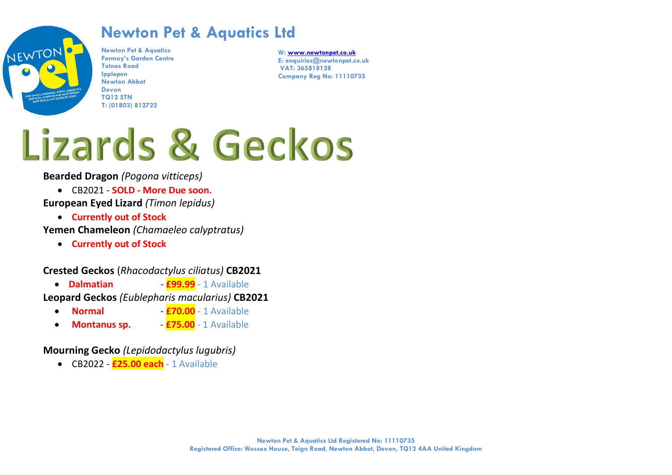

**Newton Pet & Aquatics Fermoy's Garden Centre Totnes Road Ipplepen Newton Abbot Devon TQ12 5TN T: (01803) 812722**

**W[: www.newtonpet.co.uk](http://www.newtonpet.co.uk/) E: enquiries@newtonpet.co.uk VAT: 365818128 Company Reg No: 11110735**

# Lizards & Geckos

**Bearded Dragon** *(Pogona vitticeps)*

- CB2021 **SOLD - More Due soon.**
- **European Eyed Lizard** *(Timon lepidus)*
	- **Currently out of Stock**

**Yemen Chameleon** *(Chamaeleo calyptratus)*

• **Currently out of Stock**

#### **Crested Geckos** (*Rhacodactylus ciliatus)* **CB2021**

• **Dalmatian** *-* **£99.99** - 1 Available

**Leopard Geckos** *(Eublepharis macularius)* **CB2021**

- **Normal £70.00** 1 Available
- **Montanus sp. £75.00** 1 Available

#### **Mourning Gecko** *(Lepidodactylus lugubris)*

• CB2022 - **£25.00 each** - 1 Available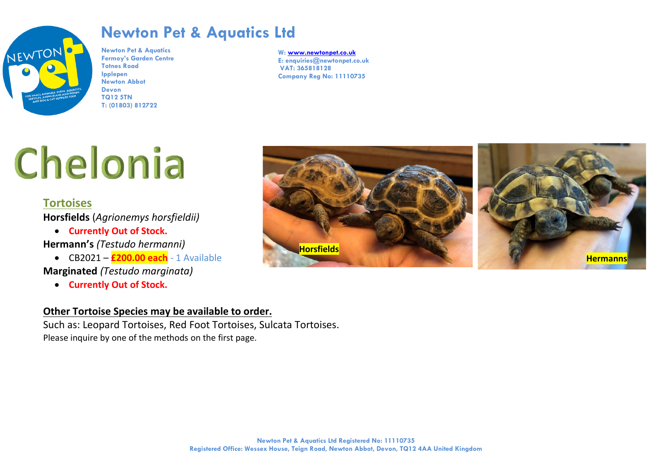

**Newton Pet & Aquatics Fermoy's Garden Centre Totnes Road Ipplepen Newton Abbot Devon TQ12 5TN T: (01803) 812722**

**W[: www.newtonpet.co.uk](http://www.newtonpet.co.uk/) E: enquiries@newtonpet.co.uk VAT: 365818128 Company Reg No: 11110735**

# Chelonia

#### **Tortoises**

**Horsfields** (*Agrionemys horsfieldii)*

• **Currently Out of Stock.**

**Hermann's** *(Testudo hermanni)*

• CB2021 – **£200.00 each** - 1 Available **Marginated** *(Testudo marginata)*

• **Currently Out of Stock.**

#### **Other Tortoise Species may be available to order.**

Such as: Leopard Tortoises, Red Foot Tortoises, Sulcata Tortoises. Please inquire by one of the methods on the first page.

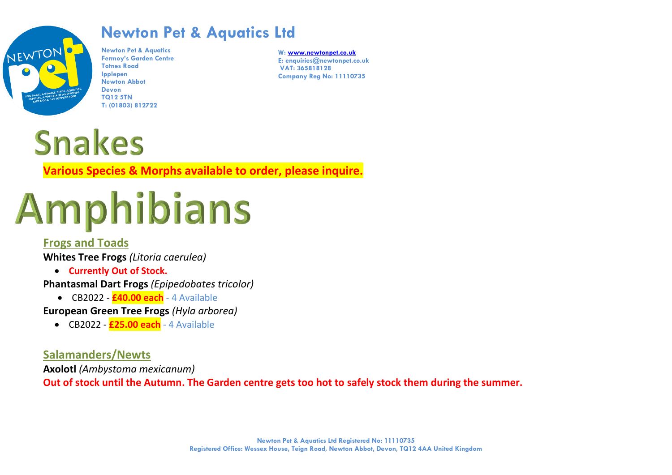

**Newton Pet & Aquatics Fermoy's Garden Centre Totnes Road Ipplepen Newton Abbot Devon TQ12 5TN T: (01803) 812722**

**W[: www.newtonpet.co.uk](http://www.newtonpet.co.uk/) E: enquiries@newtonpet.co.uk VAT: 365818128 Company Reg No: 11110735**



**Various Species & Morphs available to order, please inquire.**

# Amphibians

#### **Frogs and Toads**

**Whites Tree Frogs** *(Litoria caerulea)*

• **Currently Out of Stock.**

**Phantasmal Dart Frogs** *(Epipedobates tricolor)*

• CB2022 - **£40.00 each** - 4 Available

#### **European Green Tree Frogs** *(Hyla arborea)*

• CB2022 - **£25.00 each** - 4 Available

#### **Salamanders/Newts**

**Axolotl** *(Ambystoma mexicanum)*

**Out of stock until the Autumn. The Garden centre gets too hot to safely stock them during the summer.**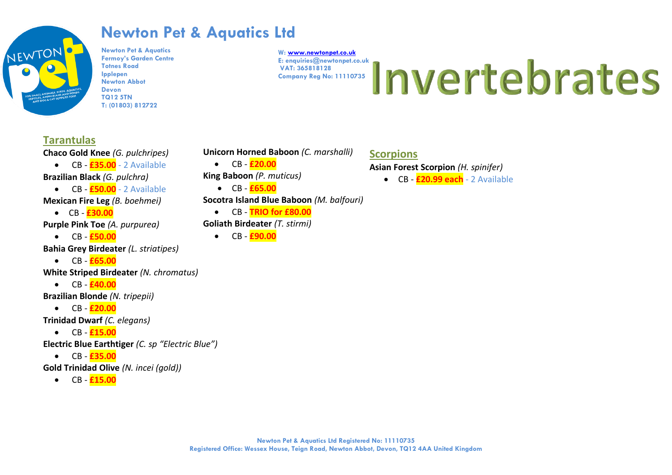

**Newton Pet & Aquatics Fermoy's Garden Centre Totnes Road Ipplepen Newton Abbot Devon TQ12 5TN T: (01803) 812722**

**W[: www.newtonpet.co.uk](http://www.newtonpet.co.uk/) VAT: 365818128 Company Reg No: 11110735**

# E: enquiries@newtonpet.co.uk <br>Company Reg No: 11110735 | nv entre by entre by tate S

#### **Tarantulas**

**Chaco Gold Knee** *(G. pulchripes)*

- CB **£35.00** 2 Available **Brazilian Black** *(G. pulchra)*
- CB **£50.00** 2 Available
- **Mexican Fire Leg** *(B. boehmei)*
	- CB **£30.00**
- **Purple Pink Toe** *(A. purpurea)*
	- CB  $E$ 50.00
- **Bahia Grey Birdeater** *(L. striatipes)*
	- CB  $E$ 65.00
- **White Striped Birdeater** *(N. chromatus)*
	- $\bullet$   $\quad$  CB  $\frac{640.00}{5}$
- **Brazilian Blonde** *(N. tripepii)*
	- CB **£20.00**

**Trinidad Dwarf** *(C. elegans)*

• CB  $£15.00$ 

**Electric Blue Earthtiger** *(C. sp "Electric Blue")*

- CB  $\overline{E}$ **35.00**
- **Gold Trinidad Olive** *(N. incei (gold))*
	- CB **£15.00**

**Unicorn Horned Baboon** *(C. marshalli)*

 $\bullet$  CB  $\overline{E20.00}$ **King Baboon** *(P. muticus)*

• CB - **£65.00 Socotra Island Blue Baboon** *(M. balfouri)*

• CB - **TRIO for £80.00**

**Goliath Birdeater** *(T. stirmi)*

• CB - **£90.00**

#### **Scorpions**

**Asian Forest Scorpion** *(H. spinifer)*

• CB - **£20.99 each** - 2 Available